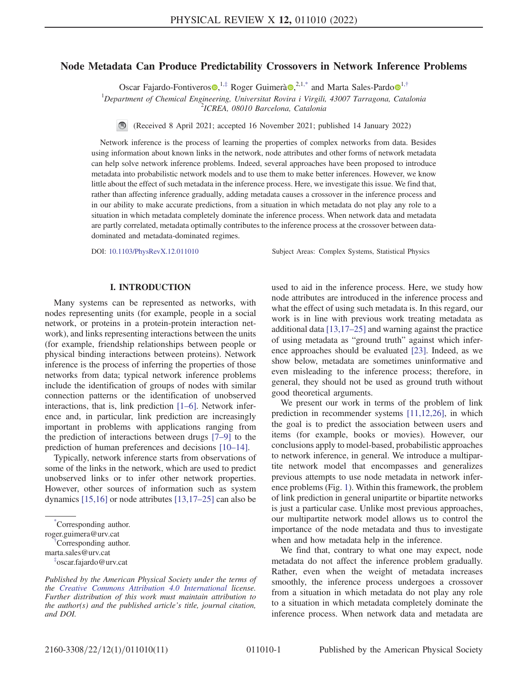# <span id="page-0-3"></span>Node Metadata Can Produce Predictability Crossovers in Network Inference Problems

Oscar Fajardo-Fontiveros  $\mathbf{Q}^{1,\ddagger}$  $\mathbf{Q}^{1,\ddagger}$  $\mathbf{Q}^{1,\ddagger}$  Roger Guimerà  $\mathbf{Q}^{2,1,*}$  $\mathbf{Q}^{2,1,*}$  $\mathbf{Q}^{2,1,*}$  and Marta Sales-Pardo  $\mathbf{Q}^{1,\dagger}$ 

<sup>1</sup>Department of Chemical Engineering, Universitat Rovira i Virgili, 43007 Tarragona, Catalonia

<sup>2</sup>ICREA, 08010 Barcelona, Catalonia

(Received 8 April 2021; accepted 16 November 2021; published 14 January 2022)

Network inference is the process of learning the properties of complex networks from data. Besides using information about known links in the network, node attributes and other forms of network metadata can help solve network inference problems. Indeed, several approaches have been proposed to introduce metadata into probabilistic network models and to use them to make better inferences. However, we know little about the effect of such metadata in the inference process. Here, we investigate this issue. We find that, rather than affecting inference gradually, adding metadata causes a crossover in the inference process and in our ability to make accurate predictions, from a situation in which metadata do not play any role to a situation in which metadata completely dominate the inference process. When network data and metadata are partly correlated, metadata optimally contributes to the inference process at the crossover between datadominated and metadata-dominated regimes.

DOI: [10.1103/PhysRevX.12.011010](https://doi.org/10.1103/PhysRevX.12.011010) Subject Areas: Complex Systems, Statistical Physics

# I. INTRODUCTION

Many systems can be represented as networks, with nodes representing units (for example, people in a social network, or proteins in a protein-protein interaction network), and links representing interactions between the units (for example, friendship relationships between people or physical binding interactions between proteins). Network inference is the process of inferring the properties of those networks from data; typical network inference problems include the identification of groups of nodes with similar connection patterns or the identification of unobserved interactions, that is, link prediction [[1](#page-9-0)–[6](#page-10-0)]. Network inference and, in particular, link prediction are increasingly important in problems with applications ranging from the prediction of interactions between drugs [\[7](#page-10-1)–[9\]](#page-10-2) to the prediction of human preferences and decisions [[10](#page-10-3)–[14\]](#page-10-4).

Typically, network inference starts from observations of some of the links in the network, which are used to predict unobserved links or to infer other network properties. However, other sources of information such as system dynamics [[15](#page-10-5),[16](#page-10-6)] or node attributes [[13](#page-10-7),[17](#page-10-8)–[25](#page-10-9)] can also be

used to aid in the inference process. Here, we study how node attributes are introduced in the inference process and what the effect of using such metadata is. In this regard, our work is in line with previous work treating metadata as additional data [[13](#page-10-7),[17](#page-10-8)–[25](#page-10-9)] and warning against the practice of using metadata as "ground truth" against which inference approaches should be evaluated [\[23\]](#page-10-10). Indeed, as we show below, metadata are sometimes uninformative and even misleading to the inference process; therefore, in general, they should not be used as ground truth without good theoretical arguments.

We present our work in terms of the problem of link prediction in recommender systems [\[11](#page-10-11)[,12,](#page-10-12)[26](#page-10-13)], in which the goal is to predict the association between users and items (for example, books or movies). However, our conclusions apply to model-based, probabilistic approaches to network inference, in general. We introduce a multipartite network model that encompasses and generalizes previous attempts to use node metadata in network inference problems (Fig. [1](#page-1-0)). Within this framework, the problem of link prediction in general unipartite or bipartite networks is just a particular case. Unlike most previous approaches, our multipartite network model allows us to control the importance of the node metadata and thus to investigate when and how metadata help in the inference.

We find that, contrary to what one may expect, node metadata do not affect the inference problem gradually. Rather, even when the weight of metadata increases smoothly, the inference process undergoes a crossover from a situation in which metadata do not play any role to a situation in which metadata completely dominate the inference process. When network data and metadata are

<span id="page-0-1"></span>[<sup>\\*</sup>](#page-0-3) Corresponding author. roger.guimera@urv.cat [†](#page-0-3) Corresponding author.

<span id="page-0-2"></span>marta.sales@urv.cat

<span id="page-0-0"></span>[<sup>‡</sup>](#page-0-3) oscar.fajardo@urv.cat

Published by the American Physical Society under the terms of the [Creative Commons Attribution 4.0 International](https://creativecommons.org/licenses/by/4.0/) license. Further distribution of this work must maintain attribution to the author(s) and the published article's title, journal citation, and DOI.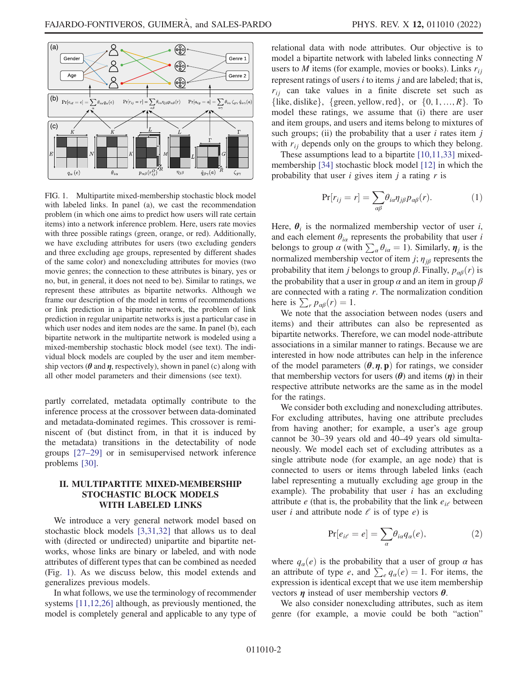<span id="page-1-0"></span>

FIG. 1. Multipartite mixed-membership stochastic block model with labeled links. In panel (a), we cast the recommendation problem (in which one aims to predict how users will rate certain items) into a network inference problem. Here, users rate movies with three possible ratings (green, orange, or red). Additionally, we have excluding attributes for users (two excluding genders and three excluding age groups, represented by different shades of the same color) and nonexcluding attributes for movies (two movie genres; the connection to these attributes is binary, yes or no, but, in general, it does not need to be). Similar to ratings, we represent these attributes as bipartite networks. Although we frame our description of the model in terms of recommendations or link prediction in a bipartite network, the problem of link prediction in regular unipartite networks is just a particular case in which user nodes and item nodes are the same. In panel (b), each bipartite network in the multipartite network is modeled using a mixed-membership stochastic block model (see text). The individual block models are coupled by the user and item membership vectors ( $\theta$  and  $\eta$ , respectively), shown in panel (c) along with all other model parameters and their dimensions (see text).

partly correlated, metadata optimally contribute to the inference process at the crossover between data-dominated and metadata-dominated regimes. This crossover is reminiscent of (but distinct from, in that it is induced by the metadata) transitions in the detectability of node groups [[27](#page-10-14)–[29](#page-10-15)] or in semisupervised network inference problems [[30](#page-10-16)].

# II. MULTIPARTITE MIXED-MEMBERSHIP STOCHASTIC BLOCK MODELS WITH LABELED LINKS

We introduce a very general network model based on stochastic block models [[3](#page-9-1),[31](#page-10-17),[32](#page-10-18)] that allows us to deal with (directed or undirected) unipartite and bipartite networks, whose links are binary or labeled, and with node attributes of different types that can be combined as needed (Fig. [1](#page-1-0)). As we discuss below, this model extends and generalizes previous models.

In what follows, we use the terminology of recommender systems [\[11](#page-10-11)[,12](#page-10-12)[,26\]](#page-10-13) although, as previously mentioned, the model is completely general and applicable to any type of relational data with node attributes. Our objective is to model a bipartite network with labeled links connecting N users to M items (for example, movies or books). Links  $r_{ii}$ represent ratings of users  $i$  to items  $j$  and are labeled; that is,  $r_{ij}$  can take values in a finite discrete set such as {like, dislike}, {green, yellow, red}, or  $\{0, 1, ..., R\}$ . To model these ratings, we assume that (i) there are user and item groups, and users and items belong to mixtures of such groups; (ii) the probability that a user  $i$  rates item  $j$ with  $r_{ij}$  depends only on the groups to which they belong.

<span id="page-1-1"></span>These assumptions lead to a bipartite [[10](#page-10-3),[11](#page-10-11),[33](#page-10-19)] mixedmembership [[34](#page-10-20)] stochastic block model [\[12\]](#page-10-12) in which the probability that user  $i$  gives item  $j$  a rating  $r$  is

$$
\Pr[r_{ij} = r] = \sum_{\alpha\beta} \theta_{i\alpha} \eta_{j\beta} p_{\alpha\beta}(r). \tag{1}
$$

Here,  $\theta_i$  is the normalized membership vector of user i, and each element  $\theta_{i\alpha}$  represents the probability that user i belongs to group  $\alpha$  (with  $\sum_{\alpha} \theta_{i\alpha} = 1$ ). Similarly,  $\eta_j$  is the normalized membership vector of item j;  $\eta_{j\beta}$  represents the probability that item j belongs to group  $\beta$ . Finally,  $p_{\alpha\beta}(r)$  is the probability that a user in group  $\alpha$  and an item in group  $\beta$ are connected with a rating  $r$ . The normalization condition here is  $\sum_{r} p_{\alpha\beta}(r) = 1$ .

We note that the association between nodes (users and items) and their attributes can also be represented as bipartite networks. Therefore, we can model node-attribute associations in a similar manner to ratings. Because we are interested in how node attributes can help in the inference of the model parameters  $(\theta, \eta, \mathbf{p})$  for ratings, we consider that membership vectors for users  $(\theta)$  and items  $(\eta)$  in their respective attribute networks are the same as in the model for the ratings.

We consider both excluding and nonexcluding attributes. For excluding attributes, having one attribute precludes from having another; for example, a user's age group cannot be 30–39 years old and 40–49 years old simultaneously. We model each set of excluding attributes as a single attribute node (for example, an age node) that is connected to users or items through labeled links (each label representing a mutually excluding age group in the example). The probability that user  $i$  has an excluding attribute *e* (that is, the probability that the link  $e_{i\ell}$  between user *i* and attribute node  $\ell$  is of type *e*) is

$$
Pr[e_{i\ell} = e] = \sum_{\alpha} \theta_{i\alpha} q_{\alpha}(e), \qquad (2)
$$

where  $q_{\alpha}(e)$  is the probability that a user of group  $\alpha$  has an attribute of type e, and  $\sum_{e} q_{\alpha}(e) = 1$ . For items, the expression is identical except that we use item membership vectors  $\eta$  instead of user membership vectors  $\theta$ .

We also consider nonexcluding attributes, such as item genre (for example, a movie could be both "action"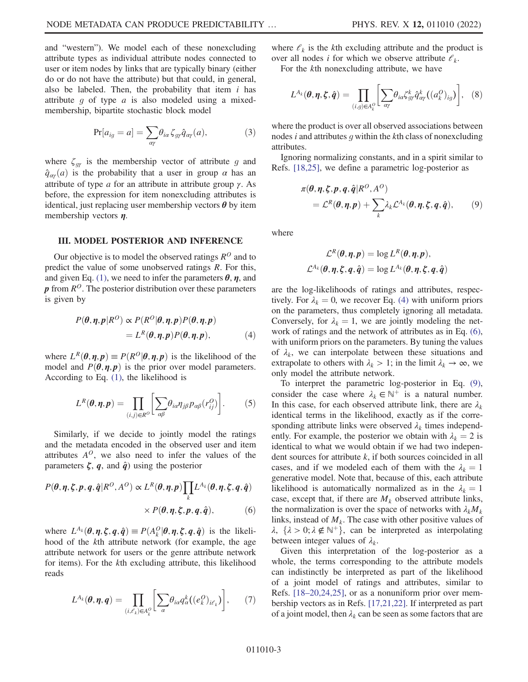and "western"). We model each of these nonexcluding attribute types as individual attribute nodes connected to user or item nodes by links that are typically binary (either do or do not have the attribute) but that could, in general, also be labeled. Then, the probability that item  $i$  has attribute  $g$  of type  $a$  is also modeled using a mixedmembership, bipartite stochastic block model

$$
Pr[a_{ig} = a] = \sum_{\alpha\gamma} \theta_{i\alpha} \zeta_{g\gamma} \hat{q}_{\alpha\gamma}(a), \qquad (3)
$$

where  $\zeta_{q\gamma}$  is the membership vector of attribute g and  $\hat{q}_{\alpha\gamma}(a)$  is the probability that a user in group  $\alpha$  has an attribute of type  $\alpha$  for an attribute in attribute group  $\gamma$ . As before, the expression for item nonexcluding attributes is identical, just replacing user membership vectors  $\theta$  by item membership vectors  $\eta$ .

#### III. MODEL POSTERIOR AND INFERENCE

<span id="page-2-0"></span>Our objective is to model the observed ratings  $R^O$  and to predict the value of some unobserved ratings R. For this, and given Eq. [\(1\),](#page-1-1) we need to infer the parameters  $\theta$ ,  $\eta$ , and  $p$  from  $R^{O}$ . The posterior distribution over these parameters is given by

$$
P(\theta, \eta, p | R^O) \propto P(R^O | \theta, \eta, p) P(\theta, \eta, p)
$$
  
=  $L^R(\theta, \eta, p) P(\theta, \eta, p)$ , (4)

where  $L^R(\theta, \eta, p) \equiv P(R^O | \theta, \eta, p)$  is the likelihood of the model and  $P(\theta, \eta, p)$  is the prior over model parameters. According to Eq. [\(1\)](#page-1-1), the likelihood is

$$
L^{R}(\boldsymbol{\theta}, \boldsymbol{\eta}, \boldsymbol{p}) = \prod_{(i,j) \in R^{O}} \bigg[ \sum_{\alpha\beta} \theta_{i\alpha} \eta_{j\beta} p_{\alpha\beta} (r_{ij}^{O}) \bigg]. \qquad (5)
$$

<span id="page-2-1"></span>Similarly, if we decide to jointly model the ratings and the metadata encoded in the observed user and item attributes  $A^{O}$ , we also need to infer the values of the parameters  $\zeta$ , q, and  $\hat{q}$ ) using the posterior

$$
P(\theta, \eta, \zeta, p, q, \hat{q} | R^O, A^O) \propto L^R(\theta, \eta, p) \prod_k L^{A_k}(\theta, \eta, \zeta, q, \hat{q})
$$
  
 
$$
\times P(\theta, \eta, \zeta, p, q, \hat{q}), \qquad (6)
$$

where  $L^{A_k}(\theta, \eta, \xi, q, \hat{q}) \equiv P(A_k^O | \theta, \eta, \xi, q, \hat{q})$  is the likeli-<br>hood of the *k*th attribute network (for example the age hood of the kth attribute network (for example, the age attribute network for users or the genre attribute network for items). For the kth excluding attribute, this likelihood reads

$$
L^{A_k}(\boldsymbol{\theta}, \boldsymbol{\eta}, \boldsymbol{q}) = \prod_{(i,\ell_k)\in A_k^O} \bigg[\sum_{\alpha} \theta_{i\alpha} q_{\alpha}^k((e_k^O)_{i\ell_k})\bigg],\qquad(7)
$$

where  $\mathcal{C}_k$  is the kth excluding attribute and the product is over all nodes *i* for which we observe attribute  $\ell_k$ .

For the kth nonexcluding attribute, we have

$$
L^{A_k}(\boldsymbol{\theta}, \boldsymbol{\eta}, \boldsymbol{\zeta}, \hat{\boldsymbol{q}}) = \prod_{(i,g)\in A_k^O} \bigg[ \sum_{\alpha\gamma} \theta_{i\alpha} \zeta_{g\gamma}^k \hat{q}_{\alpha\gamma}^k ((a_k^O)_{ig}) \bigg], \quad (8)
$$

where the product is over all observed associations between nodes  $i$  and attributes  $g$  within the  $k$ th class of nonexcluding attributes.

<span id="page-2-2"></span>Ignoring normalizing constants, and in a spirit similar to Refs. [[18](#page-10-21),[25](#page-10-9)], we define a parametric log-posterior as

$$
\pi(\theta, \eta, \xi, p, q, \hat{q} | R^O, A^O) \n= \mathcal{L}^R(\theta, \eta, p) + \sum_k \lambda_k \mathcal{L}^{A_k}(\theta, \eta, \xi, q, \hat{q}),
$$
\n(9)

where

$$
\mathcal{L}^{R}(\boldsymbol{\theta}, \boldsymbol{\eta}, \boldsymbol{p}) = \log L^{R}(\boldsymbol{\theta}, \boldsymbol{\eta}, \boldsymbol{p}),
$$
  

$$
\mathcal{L}^{A_{k}}(\boldsymbol{\theta}, \boldsymbol{\eta}, \boldsymbol{\zeta}, \boldsymbol{q}, \hat{\boldsymbol{q}}) = \log L^{A_{k}}(\boldsymbol{\theta}, \boldsymbol{\eta}, \boldsymbol{\zeta}, \boldsymbol{q}, \hat{\boldsymbol{q}})
$$

are the log-likelihoods of ratings and attributes, respectively. For  $\lambda_k = 0$ , we recover Eq. [\(4\)](#page-2-0) with uniform priors on the parameters, thus completely ignoring all metadata. Conversely, for  $\lambda_k = 1$ , we are jointly modeling the network of ratings and the network of attributes as in Eq. [\(6\)](#page-2-1), with uniform priors on the parameters. By tuning the values of  $\lambda_k$ , we can interpolate between these situations and extrapolate to others with  $\lambda_k > 1$ ; in the limit  $\lambda_k \to \infty$ , we only model the attribute network.

To interpret the parametric log-posterior in Eq. [\(9\)](#page-2-2), consider the case where  $\lambda_k \in \mathbb{N}^+$  is a natural number. In this case, for each observed attribute link, there are  $\lambda_k$ identical terms in the likelihood, exactly as if the corresponding attribute links were observed  $\lambda_k$  times independently. For example, the posterior we obtain with  $\lambda_k = 2$  is identical to what we would obtain if we had two independent sources for attribute k, if both sources coincided in all cases, and if we modeled each of them with the  $\lambda_k = 1$ generative model. Note that, because of this, each attribute likelihood is automatically normalized as in the  $\lambda_k = 1$ case, except that, if there are  $M_k$  observed attribute links, the normalization is over the space of networks with  $\lambda_k M_k$ links, instead of  $M_k$ . The case with other positive values of  $\lambda$ ,  $\{\lambda > 0; \lambda \notin \mathbb{N}^+\}$ , can be interpreted as interpolating between integer values of  $\lambda_k$ .

Given this interpretation of the log-posterior as a whole, the terms corresponding to the attribute models can indistinctly be interpreted as part of the likelihood of a joint model of ratings and attributes, similar to Refs. [[18](#page-10-21)–[20](#page-10-22)[,24](#page-10-23)[,25\]](#page-10-9), or as a nonuniform prior over membership vectors as in Refs. [[17,](#page-10-8)[21](#page-10-24),[22](#page-10-25)]. If interpreted as part of a joint model, then  $\lambda_k$  can be seen as some factors that are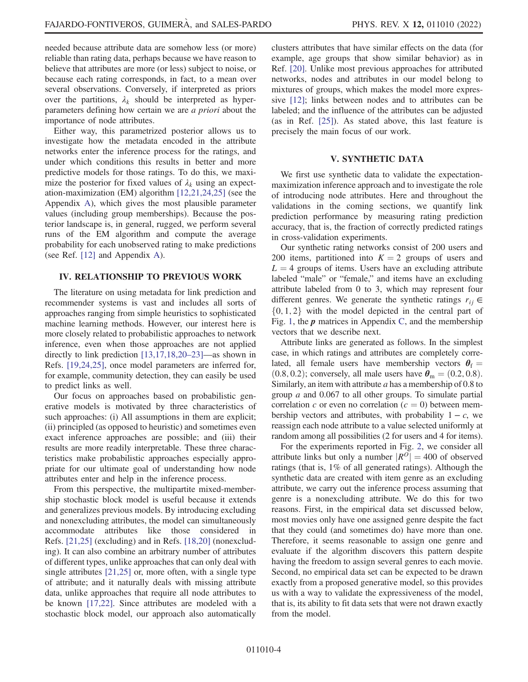needed because attribute data are somehow less (or more) reliable than rating data, perhaps because we have reason to believe that attributes are more (or less) subject to noise, or because each rating corresponds, in fact, to a mean over several observations. Conversely, if interpreted as priors over the partitions,  $\lambda_k$  should be interpreted as hyperparameters defining how certain we are a priori about the importance of node attributes.

Either way, this parametrized posterior allows us to investigate how the metadata encoded in the attribute networks enter the inference process for the ratings, and under which conditions this results in better and more predictive models for those ratings. To do this, we maximize the posterior for fixed values of  $\lambda_k$  using an expectation-maximization (EM) algorithm [\[12,](#page-10-12)[21](#page-10-24),[24](#page-10-23),[25](#page-10-9)] (see the Appendix [A](#page-8-0)), which gives the most plausible parameter values (including group memberships). Because the posterior landscape is, in general, rugged, we perform several runs of the EM algorithm and compute the average probability for each unobserved rating to make predictions (see Ref. [[12](#page-10-12)] and Appendix [A\)](#page-8-0).

### IV. RELATIONSHIP TO PREVIOUS WORK

The literature on using metadata for link prediction and recommender systems is vast and includes all sorts of approaches ranging from simple heuristics to sophisticated machine learning methods. However, our interest here is more closely related to probabilistic approaches to network inference, even when those approaches are not applied directly to link prediction [[13,](#page-10-7)[17,](#page-10-8)[18](#page-10-21)[,20](#page-10-22)–[23](#page-10-10)]—as shown in Refs. [[19](#page-10-26),[24](#page-10-23)[,25\]](#page-10-9), once model parameters are inferred for, for example, community detection, they can easily be used to predict links as well.

Our focus on approaches based on probabilistic generative models is motivated by three characteristics of such approaches: (i) All assumptions in them are explicit; (ii) principled (as opposed to heuristic) and sometimes even exact inference approaches are possible; and (iii) their results are more readily interpretable. These three characteristics make probabilistic approaches especially appropriate for our ultimate goal of understanding how node attributes enter and help in the inference process.

From this perspective, the multipartite mixed-membership stochastic block model is useful because it extends and generalizes previous models. By introducing excluding and nonexcluding attributes, the model can simultaneously accommodate attributes like those considered in Refs. [[21](#page-10-24)[,25](#page-10-9)] (excluding) and in Refs. [\[18,](#page-10-21)[20\]](#page-10-22) (nonexcluding). It can also combine an arbitrary number of attributes of different types, unlike approaches that can only deal with single attributes [\[21,](#page-10-24)[25\]](#page-10-9) or, more often, with a single type of attribute; and it naturally deals with missing attribute data, unlike approaches that require all node attributes to be known [[17](#page-10-8),[22](#page-10-25)]. Since attributes are modeled with a stochastic block model, our approach also automatically clusters attributes that have similar effects on the data (for example, age groups that show similar behavior) as in Ref. [[20](#page-10-22)]. Unlike most previous approaches for attributed networks, nodes and attributes in our model belong to mixtures of groups, which makes the model more expressive [[12](#page-10-12)]; links between nodes and to attributes can be labeled; and the influence of the attributes can be adjusted (as in Ref. [[25](#page-10-9)]). As stated above, this last feature is precisely the main focus of our work.

#### V. SYNTHETIC DATA

We first use synthetic data to validate the expectationmaximization inference approach and to investigate the role of introducing node attributes. Here and throughout the validations in the coming sections, we quantify link prediction performance by measuring rating prediction accuracy, that is, the fraction of correctly predicted ratings in cross-validation experiments.

Our synthetic rating networks consist of 200 users and 200 items, partitioned into  $K = 2$  groups of users and  $L = 4$  groups of items. Users have an excluding attribute labeled "male" or "female," and items have an excluding attribute labeled from 0 to 3, which may represent four different genres. We generate the synthetic ratings  $r_{ij} \in$  $\{0, 1, 2\}$  with the model depicted in the central part of Fig. [1,](#page-1-0) the  $p$  matrices in Appendix [C](#page-9-2), and the membership vectors that we describe next.

Attribute links are generated as follows. In the simplest case, in which ratings and attributes are completely correlated, all female users have membership vectors  $\theta_f =$  $(0.8, 0.2)$ ; conversely, all male users have  $\theta_{\rm m} = (0.2, 0.8)$ . Similarly, an item with attribute  $a$  has a membership of 0.8 to group a and 0.067 to all other groups. To simulate partial correlation c or even no correlation  $(c = 0)$  between membership vectors and attributes, with probability  $1 - c$ , we reassign each node attribute to a value selected uniformly at random among all possibilities (2 for users and 4 for items).

For the experiments reported in Fig. [2](#page-4-0), we consider all attribute links but only a number  $|R^0| = 400$  of observed ratings (that is, 1% of all generated ratings). Although the synthetic data are created with item genre as an excluding attribute, we carry out the inference process assuming that genre is a nonexcluding attribute. We do this for two reasons. First, in the empirical data set discussed below, most movies only have one assigned genre despite the fact that they could (and sometimes do) have more than one. Therefore, it seems reasonable to assign one genre and evaluate if the algorithm discovers this pattern despite having the freedom to assign several genres to each movie. Second, no empirical data set can be expected to be drawn exactly from a proposed generative model, so this provides us with a way to validate the expressiveness of the model, that is, its ability to fit data sets that were not drawn exactly from the model.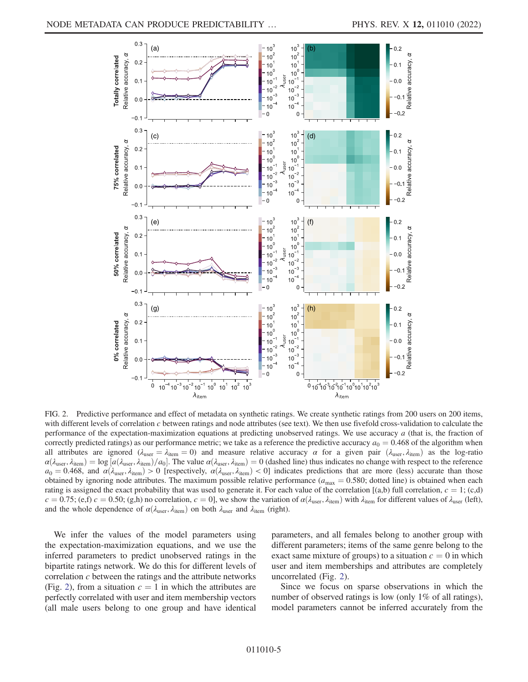<span id="page-4-0"></span>

FIG. 2. Predictive performance and effect of metadata on synthetic ratings. We create synthetic ratings from 200 users on 200 items, with different levels of correlation  $c$  between ratings and node attributes (see text). We then use fivefold cross-validation to calculate the performance of the expectation-maximization equations at predicting unobserved ratings. We use accuracy  $a$  (that is, the fraction of correctly predicted ratings) as our performance metric; we take as a reference the predictive accuracy  $a_0 = 0.468$  of the algorithm when all attributes are ignored ( $\lambda_{user} = \lambda_{item} = 0$ ) and measure relative accuracy  $\alpha$  for a given pair ( $\lambda_{user}$ ,  $\lambda_{item}$ ) as the log-ratio  $\alpha(\lambda_{user}, \lambda_{item}) = \log [a(\lambda_{user}, \lambda_{item})/a_0]$ . The value  $\alpha(\lambda_{user}, \lambda_{item}) = 0$  (dashed line) thus indicates no change with respect to the reference  $a_0 = 0.468$  and  $\alpha(\lambda_{user}, \lambda_{item}) > 0$  [respectively  $\alpha(\lambda_{user}, \lambda_{item}) > 0$ ] indicates prediction  $a_0 = 0.468$ , and  $\alpha(\lambda_{user}, \lambda_{item}) > 0$  [respectively,  $\alpha(\lambda_{user}, \lambda_{item}) < 0$ ] indicates predictions that are more (less) accurate than those obtained by ignoring node attributes. The maximum possible relative performance ( $a_{\text{max}} = 0.580$ ; dotted line) is obtained when each rating is assigned the exact probability that was used to generate it. For each value of the correlation  $[(a,b)$  full correlation,  $c = 1$ ;  $(c,d)$  $c = 0.75$ ; (e,f)  $c = 0.50$ ; (g,h) no correlation,  $c = 0$ ], we show the variation of  $\alpha(\lambda_{user}, \lambda_{item})$  with  $\lambda_{item}$  for different values of  $\lambda_{user}$  (left), and the whole dependence of  $\alpha(\lambda_{user}, \lambda_{item})$  on both  $\lambda_{user}$  and  $\lambda_{item}$  (right).

We infer the values of the model parameters using the expectation-maximization equations, and we use the inferred parameters to predict unobserved ratings in the bipartite ratings network. We do this for different levels of correlation c between the ratings and the attribute networks (Fig. [2](#page-4-0)), from a situation  $c = 1$  in which the attributes are perfectly correlated with user and item membership vectors (all male users belong to one group and have identical parameters, and all females belong to another group with different parameters; items of the same genre belong to the exact same mixture of groups) to a situation  $c = 0$  in which user and item memberships and attributes are completely uncorrelated (Fig. [2](#page-4-0)).

Since we focus on sparse observations in which the number of observed ratings is low (only 1% of all ratings), model parameters cannot be inferred accurately from the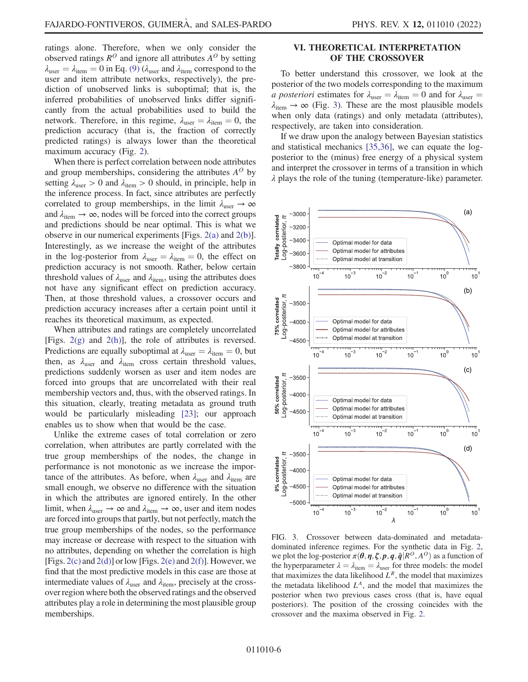ratings alone. Therefore, when we only consider the observed ratings  $R^O$  and ignore all attributes  $A^O$  by setting  $\lambda_{user} = \lambda_{item} = 0$  in Eq. [\(9\)](#page-2-2) ( $\lambda_{user}$  and  $\lambda_{item}$  correspond to the user and item attribute networks, respectively), the prediction of unobserved links is suboptimal; that is, the inferred probabilities of unobserved links differ significantly from the actual probabilities used to build the network. Therefore, in this regime,  $\lambda_{user} = \lambda_{item} = 0$ , the prediction accuracy (that is, the fraction of correctly predicted ratings) is always lower than the theoretical maximum accuracy (Fig. [2\)](#page-4-0).

When there is perfect correlation between node attributes and group memberships, considering the attributes  $A^O$  by setting  $\lambda_{user} > 0$  and  $\lambda_{item} > 0$  should, in principle, help in the inference process. In fact, since attributes are perfectly correlated to group memberships, in the limit  $\lambda_{\text{user}} \to \infty$ and  $\lambda_{\text{item}} \rightarrow \infty$ , nodes will be forced into the correct groups and predictions should be near optimal. This is what we observe in our numerical experiments [Figs. [2\(a\)](#page-4-0) and [2\(b\)](#page-4-0)]. Interestingly, as we increase the weight of the attributes in the log-posterior from  $\lambda_{\text{user}} = \lambda_{\text{item}} = 0$ , the effect on prediction accuracy is not smooth. Rather, below certain threshold values of  $\lambda_{user}$  and  $\lambda_{item}$ , using the attributes does not have any significant effect on prediction accuracy. Then, at those threshold values, a crossover occurs and prediction accuracy increases after a certain point until it reaches its theoretical maximum, as expected.

When attributes and ratings are completely uncorrelated [Figs. [2\(g\)](#page-4-0) and [2\(h\)\]](#page-4-0), the role of attributes is reversed. Predictions are equally suboptimal at  $\lambda_{\text{user}} = \lambda_{\text{item}} = 0$ , but then, as  $\lambda_{user}$  and  $\lambda_{item}$  cross certain threshold values, predictions suddenly worsen as user and item nodes are forced into groups that are uncorrelated with their real membership vectors and, thus, with the observed ratings. In this situation, clearly, treating metadata as ground truth would be particularly misleading [[23](#page-10-10)]; our approach enables us to show when that would be the case.

Unlike the extreme cases of total correlation or zero correlation, when attributes are partly correlated with the true group memberships of the nodes, the change in performance is not monotonic as we increase the importance of the attributes. As before, when  $\lambda_{\text{user}}$  and  $\lambda_{\text{item}}$  are small enough, we observe no difference with the situation in which the attributes are ignored entirely. In the other limit, when  $\lambda_{user} \rightarrow \infty$  and  $\lambda_{item} \rightarrow \infty$ , user and item nodes are forced into groups that partly, but not perfectly, match the true group memberships of the nodes, so the performance may increase or decrease with respect to the situation with no attributes, depending on whether the correlation is high [Figs.  $2(c)$  and  $2(d)$ ] or low [Figs.  $2(e)$  and  $2(f)$ ]. However, we find that the most predictive models in this case are those at intermediate values of  $\lambda_{user}$  and  $\lambda_{item}$ , precisely at the crossover region where both the observed ratings and the observed attributes play a role in determining the most plausible group memberships.

# VI. THEORETICAL INTERPRETATION OF THE CROSSOVER

To better understand this crossover, we look at the posterior of the two models corresponding to the maximum *a posteriori* estimates for  $\lambda_{\text{user}} = \lambda_{\text{item}} = 0$  and for  $\lambda_{\text{user}} =$  $\lambda_{\text{item}} \rightarrow \infty$  (Fig. [3\)](#page-5-0). These are the most plausible models when only data (ratings) and only metadata (attributes), respectively, are taken into consideration.

If we draw upon the analogy between Bayesian statistics and statistical mechanics [[35](#page-10-27),[36](#page-10-28)], we can equate the logposterior to the (minus) free energy of a physical system and interpret the crossover in terms of a transition in which λ plays the role of the tuning (temperature-like) parameter.

<span id="page-5-0"></span>

FIG. 3. Crossover between data-dominated and metadatadominated inference regimes. For the synthetic data in Fig. [2,](#page-4-0) we plot the log-posterior  $\pi(\theta, \eta, \zeta, p, q, \hat{q} | R^O, A^O)$  as a function of the hyperparameter  $\lambda = \lambda_{\text{item}} = \lambda_{\text{user}}$  for three models: the model that maximizes the data likelihood  $L^R$ , the model that maximizes the metadata likelihood  $L<sup>A</sup>$ , and the model that maximizes the posterior when two previous cases cross (that is, have equal posteriors). The position of the crossing coincides with the crossover and the maxima observed in Fig. [2.](#page-4-0)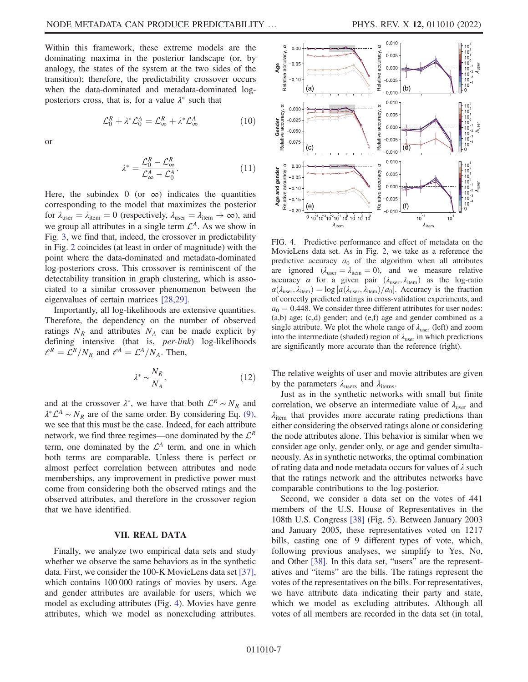Within this framework, these extreme models are the dominating maxima in the posterior landscape (or, by analogy, the states of the system at the two sides of the transition); therefore, the predictability crossover occurs when the data-dominated and metadata-dominated logposteriors cross, that is, for a value  $\lambda^*$  such that

$$
\mathcal{L}_0^R + \lambda^* \mathcal{L}_0^A = \mathcal{L}_{\infty}^R + \lambda^* \mathcal{L}_{\infty}^A \tag{10}
$$

or

$$
\lambda^* = \frac{\mathcal{L}_0^R - \mathcal{L}_\infty^R}{\mathcal{L}_\infty^A - \mathcal{L}_0^A}.\tag{11}
$$

Here, the subindex 0 (or  $\infty$ ) indicates the quantities corresponding to the model that maximizes the posterior for  $\lambda_{\text{user}} = \lambda_{\text{item}} = 0$  (respectively,  $\lambda_{\text{user}} = \lambda_{\text{item}} \rightarrow \infty$ ), and we group all attributes in a single term  $\mathcal{L}^A$ . As we show in Fig. [3,](#page-5-0) we find that, indeed, the crossover in predictability in Fig. [2](#page-4-0) coincides (at least in order of magnitude) with the point where the data-dominated and metadata-dominated log-posteriors cross. This crossover is reminiscent of the detectability transition in graph clustering, which is associated to a similar crossover phenomenon between the eigenvalues of certain matrices [\[28,](#page-10-29)[29\]](#page-10-15).

Importantly, all log-likelihoods are extensive quantities. Therefore, the dependency on the number of observed ratings  $N_R$  and attributes  $N_A$  can be made explicit by defining intensive (that is, per-link) log-likelihoods  $l^R = \mathcal{L}^R/N_R$  and  $l^A = \mathcal{L}^A/N_A$ . Then,

$$
\lambda^* \sim \frac{N_R}{N_A},\tag{12}
$$

and at the crossover  $\lambda^*$ , we have that both  $\mathcal{L}^R \sim N_R$  and  $\lambda^* \mathcal{L}^A \sim N_R$  are of the same order. By considering Eq. [\(9\)](#page-2-2), we see that this must be the case. Indeed, for each attribute network, we find three regimes—one dominated by the  $\mathcal{L}^R$ term, one dominated by the  $\mathcal{L}^A$  term, and one in which both terms are comparable. Unless there is perfect or almost perfect correlation between attributes and node memberships, any improvement in predictive power must come from considering both the observed ratings and the observed attributes, and therefore in the crossover region that we have identified.

### VII. REAL DATA

Finally, we analyze two empirical data sets and study whether we observe the same behaviors as in the synthetic data. First, we consider the 100-K MovieLens data set [[37](#page-10-30)], which contains 100 000 ratings of movies by users. Age and gender attributes are available for users, which we model as excluding attributes (Fig. [4\)](#page-6-0). Movies have genre attributes, which we model as nonexcluding attributes.

<span id="page-6-0"></span>

FIG. 4. Predictive performance and effect of metadata on the MovieLens data set. As in Fig. [2](#page-4-0), we take as a reference the predictive accuracy  $a_0$  of the algorithm when all attributes are ignored ( $\lambda_{\text{user}} = \lambda_{\text{item}} = 0$ ), and we measure relative accuracy  $\alpha$  for a given pair  $(\lambda_{user}, \lambda_{item})$  as the log-ratio  $\alpha(\lambda_{user}, \lambda_{item}) = \log [a(\lambda_{user}, \lambda_{item})/a_0].$  Accuracy is the fraction of correctly predicted ratings in cross-validation experiments and of correctly predicted ratings in cross-validation experiments, and  $a_0 = 0.448$ . We consider three different attributes for user nodes: (a,b) age; (c,d) gender; and (e,f) age and gender combined as a single attribute. We plot the whole range of  $\lambda_{user}$  (left) and zoom into the intermediate (shaded) region of  $\lambda_{user}$  in which predictions are significantly more accurate than the reference (right).

The relative weights of user and movie attributes are given by the parameters  $\lambda_{\text{users}}$  and  $\lambda_{\text{items}}$ .

Just as in the synthetic networks with small but finite correlation, we observe an intermediate value of  $\lambda_{user}$  and  $\lambda_{\text{item}}$  that provides more accurate rating predictions than either considering the observed ratings alone or considering the node attributes alone. This behavior is similar when we consider age only, gender only, or age and gender simultaneously. As in synthetic networks, the optimal combination of rating data and node metadata occurs for values of  $\lambda$  such that the ratings network and the attributes networks have comparable contributions to the log-posterior.

Second, we consider a data set on the votes of 441 members of the U.S. House of Representatives in the 108th U.S. Congress [\[38\]](#page-10-31) (Fig. [5\)](#page-7-0). Between January 2003 and January 2005, these representatives voted on 1217 bills, casting one of 9 different types of vote, which, following previous analyses, we simplify to Yes, No, and Other [\[38](#page-10-31)]. In this data set, "users" are the representatives and "items" are the bills. The ratings represent the votes of the representatives on the bills. For representatives, we have attribute data indicating their party and state, which we model as excluding attributes. Although all votes of all members are recorded in the data set (in total,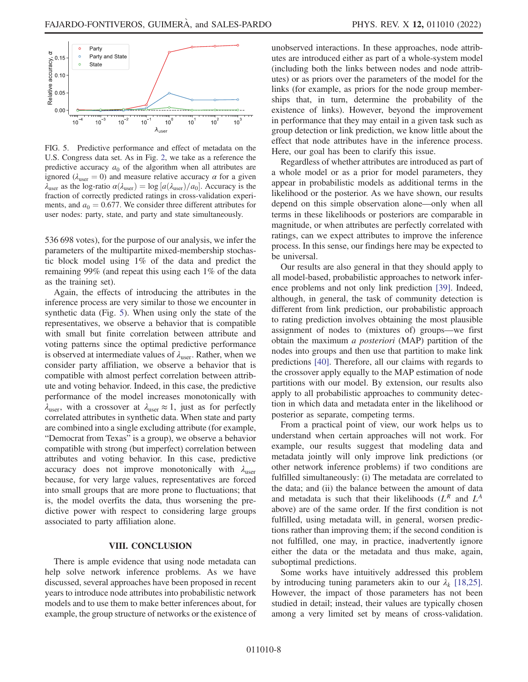<span id="page-7-0"></span>Party  $\circ$ 

FIG. 5. Predictive performance and effect of metadata on the U.S. Congress data set. As in Fig. [2](#page-4-0), we take as a reference the predictive accuracy  $a_0$  of the algorithm when all attributes are ignored ( $\lambda_{user} = 0$ ) and measure relative accuracy  $\alpha$  for a given  $\lambda_{\text{user}}$  as the log-ratio  $\alpha(\lambda_{\text{user}}) = \log [a(\lambda_{\text{user}})/a_0]$ . Accuracy is the fraction of correctly predicted ratings in cross-validation experifraction of correctly predicted ratings in cross-validation experiments, and  $a_0 = 0.677$ . We consider three different attributes for user nodes: party, state, and party and state simultaneously.

536 698 votes), for the purpose of our analysis, we infer the parameters of the multipartite mixed-membership stochastic block model using 1% of the data and predict the remaining 99% (and repeat this using each 1% of the data as the training set).

Again, the effects of introducing the attributes in the inference process are very similar to those we encounter in synthetic data (Fig. [5\)](#page-7-0). When using only the state of the representatives, we observe a behavior that is compatible with small but finite correlation between attribute and voting patterns since the optimal predictive performance is observed at intermediate values of  $\lambda_{user}$ . Rather, when we consider party affiliation, we observe a behavior that is compatible with almost perfect correlation between attribute and voting behavior. Indeed, in this case, the predictive performance of the model increases monotonically with  $\lambda_{user}$ , with a crossover at  $\lambda_{user} \approx 1$ , just as for perfectly correlated attributes in synthetic data. When state and party are combined into a single excluding attribute (for example, "Democrat from Texas" is a group), we observe a behavior compatible with strong (but imperfect) correlation between attributes and voting behavior. In this case, predictive accuracy does not improve monotonically with  $\lambda_{\text{user}}$ because, for very large values, representatives are forced into small groups that are more prone to fluctuations; that is, the model overfits the data, thus worsening the predictive power with respect to considering large groups associated to party affiliation alone.

#### VIII. CONCLUSION

There is ample evidence that using node metadata can help solve network inference problems. As we have discussed, several approaches have been proposed in recent years to introduce node attributes into probabilistic network models and to use them to make better inferences about, for example, the group structure of networks or the existence of unobserved interactions. In these approaches, node attributes are introduced either as part of a whole-system model (including both the links between nodes and node attributes) or as priors over the parameters of the model for the links (for example, as priors for the node group memberships that, in turn, determine the probability of the existence of links). However, beyond the improvement in performance that they may entail in a given task such as group detection or link prediction, we know little about the effect that node attributes have in the inference process. Here, our goal has been to clarify this issue.

Regardless of whether attributes are introduced as part of a whole model or as a prior for model parameters, they appear in probabilistic models as additional terms in the likelihood or the posterior. As we have shown, our results depend on this simple observation alone—only when all terms in these likelihoods or posteriors are comparable in magnitude, or when attributes are perfectly correlated with ratings, can we expect attributes to improve the inference process. In this sense, our findings here may be expected to be universal.

Our results are also general in that they should apply to all model-based, probabilistic approaches to network inference problems and not only link prediction [[39](#page-10-32)]. Indeed, although, in general, the task of community detection is different from link prediction, our probabilistic approach to rating prediction involves obtaining the most plausible assignment of nodes to (mixtures of) groups—we first obtain the maximum a posteriori (MAP) partition of the nodes into groups and then use that partition to make link predictions [[40](#page-10-33)]. Therefore, all our claims with regards to the crossover apply equally to the MAP estimation of node partitions with our model. By extension, our results also apply to all probabilistic approaches to community detection in which data and metadata enter in the likelihood or posterior as separate, competing terms.

From a practical point of view, our work helps us to understand when certain approaches will not work. For example, our results suggest that modeling data and metadata jointly will only improve link predictions (or other network inference problems) if two conditions are fulfilled simultaneously: (i) The metadata are correlated to the data; and (ii) the balance between the amount of data and metadata is such that their likelihoods  $(L^R$  and  $L^A$ above) are of the same order. If the first condition is not fulfilled, using metadata will, in general, worsen predictions rather than improving them; if the second condition is not fulfilled, one may, in practice, inadvertently ignore either the data or the metadata and thus make, again, suboptimal predictions.

Some works have intuitively addressed this problem by introducing tuning parameters akin to our  $\lambda_k$  [\[18,](#page-10-21)[25](#page-10-9)]. However, the impact of those parameters has not been studied in detail; instead, their values are typically chosen among a very limited set by means of cross-validation.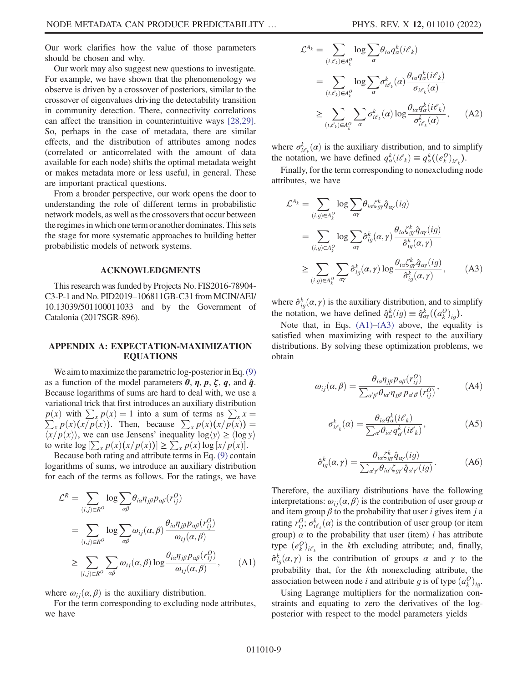Our work clarifies how the value of those parameters should be chosen and why.

Our work may also suggest new questions to investigate. For example, we have shown that the phenomenology we observe is driven by a crossover of posteriors, similar to the crossover of eigenvalues driving the detectability transition in community detection. There, connectivity correlations can affect the transition in counterintuitive ways [\[28,](#page-10-29)[29](#page-10-15)]. So, perhaps in the case of metadata, there are similar effects, and the distribution of attributes among nodes (correlated or anticorrelated with the amount of data available for each node) shifts the optimal metadata weight or makes metadata more or less useful, in general. These are important practical questions.

From a broader perspective, our work opens the door to understanding the role of different terms in probabilistic network models, as well as the crossovers that occur between the regimes in which one term or another dominates. This sets the stage for more systematic approaches to building better probabilistic models of network systems.

#### ACKNOWLEDGMENTS

This research was funded by Projects No. FIS2016-78904- C3-P-1 and No. PID2019–106811GB-C31 from MCIN/AEI/ 10.13039/501100011033 and by the Government of Catalonia (2017SGR-896).

### <span id="page-8-0"></span>APPENDIX A: EXPECTATION-MAXIMIZATION EQUATIONS

We aim to maximize the parametric log-posterior in Eq. [\(9\)](#page-2-2) as a function of the model parameters  $\theta$ ,  $\eta$ ,  $p$ ,  $\zeta$ ,  $q$ , and  $\hat{q}$ . Because logarithms of sums are hard to deal with, we use a variational trick that first introduces an auxiliary distribution  $p(x)$  with  $\sum_{x} p(x) = 1$  into a sum of terms as  $\sum_{x} p(x)(x/p(x))$ . Then, because  $\sum_{x} p(x)(x/p(x))$  $p(x)$  with  $\sum_{x} p(x) = 1$  into a sum of terms as  $\sum_{x} x =$  $\chi_{x} p(x)(x/p(x))$ . Then, because  $\sum_{x} p(x)(x/p(x)) =$ <br> $\chi_{p}(x)$  we can use Jensens' inequality  $\log(y) > (\log y)$  $\langle x/p(x) \rangle$ , we can use Jensens' inequality  $\log \langle y \rangle \ge \langle \log y \rangle$ to write  $\log \left[\sum_{x} p(x)(x/p(x))\right] \ge \sum_{x} p(x) \log [x/p(x)].$ <br>Because both rating and attribute terms in Eq. (9) conta

<span id="page-8-1"></span>Because both rating and attribute terms in Eq. [\(9\)](#page-2-2) contain logarithms of sums, we introduce an auxiliary distribution for each of the terms as follows. For the ratings, we have

$$
\mathcal{L}^{R} = \sum_{(i,j)\in R^{O}} \log \sum_{\alpha\beta} \theta_{i\alpha} \eta_{j\beta} p_{\alpha\beta} (r_{ij}^{O})
$$
  
= 
$$
\sum_{(i,j)\in R^{O}} \log \sum_{\alpha\beta} \omega_{ij}(\alpha,\beta) \frac{\theta_{i\alpha} \eta_{j\beta} p_{\alpha\beta} (r_{ij}^{O})}{\omega_{ij}(\alpha,\beta)}
$$
  

$$
\geq \sum_{(i,j)\in R^{O}} \sum_{\alpha\beta} \omega_{ij}(\alpha,\beta) \log \frac{\theta_{i\alpha} \eta_{j\beta} p_{\alpha\beta} (r_{ij}^{O})}{\omega_{ij}(\alpha,\beta)}, \qquad (A1)
$$

where  $\omega_{ii}(\alpha, \beta)$  is the auxiliary distribution.

For the term corresponding to excluding node attributes, we have

$$
\mathcal{L}^{A_k} = \sum_{(i,\ell_k)\in A_k^O} \log \sum_{\alpha} \theta_{i\alpha} q_{\alpha}^k (i\ell_k)
$$
  
\n
$$
= \sum_{(i,\ell_k)\in A_k^O} \log \sum_{\alpha} \sigma_{i\ell_k}^k(\alpha) \frac{\theta_{i\alpha} q_{\alpha}^k (i\ell_k)}{\sigma_{i\ell_k}(\alpha)}
$$
  
\n
$$
\geq \sum_{(i,\ell_k)\in A_k^O} \sum_{\alpha} \sigma_{i\ell_k}^k(\alpha) \log \frac{\theta_{i\alpha} q_{\alpha}^k (i\ell_k)}{\sigma_{i\ell_k}^k(\alpha)}, \qquad (A2)
$$

where  $\sigma_{i\ell_{k}}^{k}(a)$  is the auxiliary distribution, and to simplify<br>the notation, we have defined  $\sigma_{k}(i\ell_{k}) = \sigma_{k}^{k}((e^{0})$ the notation, we have defined  $q_{\alpha}^{k}(i\ell_{k}) \equiv q_{\alpha}^{k}((e_{k}^{O})_{i\ell_{k}})$ .<br>Finally for the term corresponding to nonprobabilize

<span id="page-8-2"></span>Finally, for the term corresponding to nonexcluding node attributes, we have

$$
\mathcal{L}^{A_k} = \sum_{(i,g)\in A_k^O} \log \sum_{\alpha\gamma} \theta_{i\alpha} \zeta_{g\gamma}^k \hat{q}_{\alpha\gamma} (ig)
$$
  
\n
$$
= \sum_{(i,g)\in A_k^O} \log \sum_{\alpha\gamma} \hat{\sigma}_{ig}^k(\alpha, \gamma) \frac{\theta_{i\alpha} \zeta_{g\gamma}^k \hat{q}_{\alpha\gamma} (ig)}{\hat{\sigma}_{ig}^k(\alpha, \gamma)}
$$
  
\n
$$
\geq \sum_{(i,g)\in A_k^O} \sum_{\alpha\gamma} \hat{\sigma}_{ig}^k(\alpha, \gamma) \log \frac{\theta_{i\alpha} \zeta_{g\gamma}^k \hat{q}_{\alpha\gamma} (ig)}{\hat{\sigma}_{ig}^k(\alpha, \gamma)}, \qquad (A3)
$$

where  $\hat{\sigma}_{ig}^{k}(a, \gamma)$  is the auxiliary distribution, and to simplify<br>the notation, we have defined  $\hat{\sigma}_{i}^{k}(a) = \hat{\sigma}_{i}^{k}(a^{(0)})$ the notation, we have defined  $\hat{q}_\alpha^k(ig) \equiv \hat{q}_{\alpha\gamma}^k((a_k^O)_{ig})$ .<br>Note that in Eqs. (A.1) (A.3) oboug the equal

Note that, in Eqs.  $(A1)$ – $(A3)$  above, the equality is satisfied when maximizing with respect to the auxiliary distributions. By solving these optimization problems, we obtain

$$
\omega_{ij}(\alpha,\beta) = \frac{\theta_{i\alpha}\eta_{j\beta}p_{\alpha\beta}(r_{ij}^O)}{\sum_{\alpha'\beta'}\theta_{i\alpha'}\eta_{j\beta'}p_{\alpha'\beta'}(r_{ij}^O)},
$$
(A4)

$$
\sigma_{i\ell_k}^k(\alpha) = \frac{\theta_{i\alpha} q_{\alpha}^k (i\ell_k)}{\sum_{\alpha'} \theta_{i\alpha'} q_{\alpha'}^k (i\ell_k)},
$$
\n(A5)

$$
\hat{\sigma}_{ig}^{k}(\alpha,\gamma) = \frac{\theta_{ia}\zeta_{g\gamma}^{k}\hat{q}_{\alpha\gamma}(ig)}{\sum_{\alpha'\gamma'}\theta_{i\alpha'}\zeta_{g\gamma'}\hat{q}_{\alpha'\gamma'}(ig)}.
$$
 (A6)

Therefore, the auxiliary distributions have the following interpretations:  $\omega_{ii}(\alpha, \beta)$  is the contribution of user group  $\alpha$ and item group  $\beta$  to the probability that user *i* gives item *j* a rating  $r_{ij}^O$ ;  $\sigma_{i\ell_k}^k(\alpha)$  is the contribution of user group (or item group)  $\alpha$  to the probability that user (item) i has attribute type  $(e_k^O)_{i\ell_k}$  in the kth excluding attribute; and, finally,  $\hat{\sigma}_{ig}^{k}(a, \gamma)$  is the contribution of groups  $\alpha$  and  $\gamma$  to the proposaliding stribute the probability that, for the kth nonexcluding attribute, the association between node *i* and attribute *g* is of type  $(a_k^O)_{ig}$ .<br>Using Lagrange multipliers for the normalization con-

Using Lagrange multipliers for the normalization constraints and equating to zero the derivatives of the logposterior with respect to the model parameters yields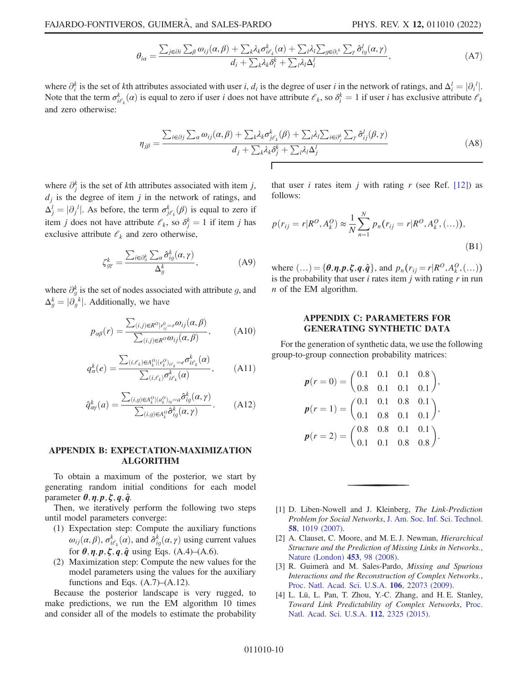$$
\theta_{ia} = \frac{\sum_{j \in \partial i} \sum_{\beta} \omega_{ij}(\alpha, \beta) + \sum_{k} \lambda_{k} \sigma_{i\ell_{k}}^{k}(\alpha) + \sum_{l} \lambda_{l} \sum_{g \in \partial_{i}^{k}} \sum_{\gamma} \hat{\sigma}_{ig}^{l}(\alpha, \gamma)}{d_{i} + \sum_{k} \lambda_{k} \delta_{i}^{k} + \sum_{l} \lambda_{l} \Delta_{i}^{l}},
$$
\n(A7)

where  $\partial_i^k$  is the set of kth attributes associated with user i,  $d_i$  is the degree of user i in the network of ratings, and  $\Delta_i^l = |\partial_i^l|$ .<br>Note that the term  $\sigma^k$  ( $\alpha$ ) is equal to zero if user i does not have attr where  $\partial_i^s$  is the set of kth attributes associated with user *i*,  $d_i$  is the degree of user *i* in the network of ratings, and  $\Delta_i^t = |\partial_i^t|$ .<br>Note that the term  $\sigma_{i\ell_k}^k(\alpha)$  is equal to zero if user *i* does not h and zero otherwise:

$$
\eta_{j\beta} = \frac{\sum_{i \in \partial j} \sum_{\alpha} \omega_{ij}(\alpha, \beta) + \sum_{k} \lambda_{k} \sigma_{j\ell_{k}}^{k}(\beta) + \sum_{l} \lambda_{l} \sum_{i \in \partial_{j}^{k}} \sum_{\gamma} \hat{\sigma}_{ij}^{l}(\beta, \gamma)}{d_{j} + \sum_{k} \lambda_{k} \delta_{j}^{k} + \sum_{l} \lambda_{l} \Delta_{j}^{l}}
$$
(A8)

where  $\partial_j^k$  is the set of kth attributes associated with item j,  $d_j$  is the degree of item j in the network of ratings, and  $\Delta_j^j = |\partial_j^j|$ . As before, the term  $\sigma_{j\ell_k}^k(\beta)$  is equal to zero if item *j* does not have attribute  $\ell_k$ , so  $\delta_j^k = 1$  if item *j* has exclusive attribute  $\mathcal{C}_k$  and zero otherwise,

$$
\zeta_{gr}^k = \frac{\sum_{i \in \partial_g^k} \sum_a \hat{\sigma}_{ig}^k(\alpha, \gamma)}{\Delta_g^k}, \tag{A9}
$$

where  $\partial_g^k$  is the set of nodes associated with attribute g, and  $\Delta_g^k = |\partial_g^k|$ . Additionally, we have

$$
p_{\alpha\beta}(r) = \frac{\sum_{(i,j)\in R^O|r_{ij}^O = r^O(i)}(\alpha, \beta)}{\sum_{(i,j)\in R^O} \alpha_{ij}(\alpha, \beta)},
$$
(A10)

$$
q_{\alpha}^{k}(e) = \frac{\sum_{(i,\ell_k)\in A_k^O \mid (e_k^O)_{i\ell_k} = e} \sigma_{i\ell_k}^{k}(\alpha)}{\sum_{(i,\ell_k)} \sigma_{i\ell_k}^{k}(\alpha)},
$$
 (A11)

$$
\hat{q}_{\alpha\gamma}^k(a) = \frac{\sum_{(i,g)\in A_k^O|(a_k^O)_{ig} = a} \hat{\sigma}_{ig}^k(\alpha, \gamma)}{\sum_{(i,g)\in A_k^O} \hat{\sigma}_{ig}^k(\alpha, \gamma)}.
$$
 (A12)

## APPENDIX B: EXPECTATION-MAXIMIZATION ALGORITHM

To obtain a maximum of the posterior, we start by generating random initial conditions for each model parameter  $\theta$ ,  $\eta$ ,  $p$ ,  $\zeta$ ,  $q$ ,  $\hat{q}$ .

Then, we iteratively perform the following two steps until model parameters converge:

- (1) Expectation step: Compute the auxiliary functions  $\omega_{ij}(\alpha, \beta)$ ,  $\sigma_{k_{\ell}}^{k}(\alpha)$ , and  $\hat{\sigma}_{kj}^{k}(\alpha, \gamma)$  using current values for  $\theta$ ,  $\eta$ ,  $p$ ,  $\zeta$ ,  $q$ ,  $\hat{q}$  using Eqs. (A.4)–(A.6).
- (2) Maximization step: Compute the new values for the model parameters using the values for the auxiliary functions and Eqs.  $(A.7)$ – $(A.12)$ .

Because the posterior landscape is very rugged, to make predictions, we run the EM algorithm 10 times and consider all of the models to estimate the probability

that user *i* rates item *j* with rating *r* (see Ref. [\[12\]](#page-10-12)) as follows:

$$
p(r_{ij} = r | R^O, A_k^O) \approx \frac{1}{N} \sum_{n=1}^{N} p_n(r_{ij} = r | R^O, A_k^O, (\dots)),
$$
\n(B1)

where  $(\ldots) = {\theta, \eta, p, \xi, q, \hat{q}}$ , and  $p_n(r_{ij} = r | R^O, A_\ell^O, (\ldots))$ <br>is the probability that user *i* rates item *i* with rating *r* in run is the probability that user  $i$  rates item  $j$  with rating  $r$  in run n of the EM algorithm.

### <span id="page-9-2"></span>APPENDIX C: PARAMETERS FOR GENERATING SYNTHETIC DATA

For the generation of synthetic data, we use the following group-to-group connection probability matrices:

$$
p(r = 0) = \begin{pmatrix} 0.1 & 0.1 & 0.1 & 0.8 \\ 0.8 & 0.1 & 0.1 & 0.1 \end{pmatrix},
$$
  
\n
$$
p(r = 1) = \begin{pmatrix} 0.1 & 0.1 & 0.8 & 0.1 \\ 0.1 & 0.8 & 0.1 & 0.1 \end{pmatrix},
$$
  
\n
$$
p(r = 2) = \begin{pmatrix} 0.8 & 0.8 & 0.1 & 0.1 \\ 0.1 & 0.1 & 0.8 & 0.8 \end{pmatrix}.
$$

- <span id="page-9-0"></span>[1] D. Liben-Nowell and J. Kleinberg, The Link-Prediction Problem for Social Networks, [J. Am. Soc. Inf. Sci. Technol.](https://doi.org/10.1002/asi.20591) 58[, 1019 \(2007\)](https://doi.org/10.1002/asi.20591).
- <span id="page-9-1"></span>[2] A. Clauset, C. Moore, and M. E. J. Newman, *Hierarchical* Structure and the Prediction of Missing Links in Networks., [Nature \(London\)](https://doi.org/10.1038/nature06830) 453, 98 (2008).
- [3] R. Guimerà and M. Sales-Pardo, Missing and Spurious Interactions and the Reconstruction of Complex Networks., [Proc. Natl. Acad. Sci. U.S.A.](https://doi.org/10.1073/pnas.0908366106) 106, 22073 (2009).
- [4] L. Lü, L. Pan, T. Zhou, Y.-C. Zhang, and H. E. Stanley, Toward Link Predictability of Complex Networks, [Proc.](https://doi.org/10.1073/pnas.1424644112) [Natl. Acad. Sci. U.S.A.](https://doi.org/10.1073/pnas.1424644112) 112, 2325 (2015).